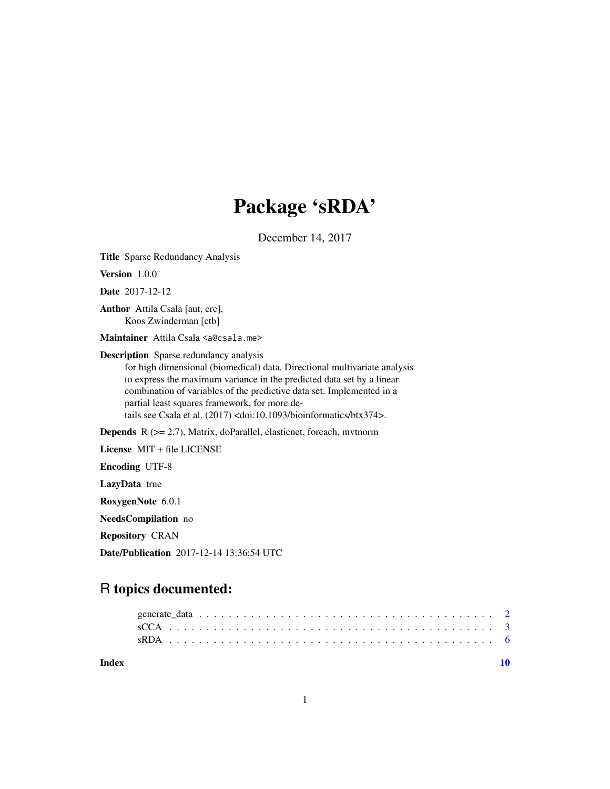## Package 'sRDA'

December 14, 2017

Title Sparse Redundancy Analysis

Version 1.0.0

Date 2017-12-12

Author Attila Csala [aut, cre], Koos Zwinderman [ctb]

Maintainer Attila Csala <a@csala.me>

Description Sparse redundancy analysis

for high dimensional (biomedical) data. Directional multivariate analysis to express the maximum variance in the predicted data set by a linear combination of variables of the predictive data set. Implemented in a partial least squares framework, for more details see Csala et al. (2017) <doi:10.1093/bioinformatics/btx374>.

Depends R (>= 2.7), Matrix, doParallel, elasticnet, foreach, mvtnorm

License MIT + file LICENSE

Encoding UTF-8

LazyData true

RoxygenNote 6.0.1

NeedsCompilation no

Repository CRAN

Date/Publication 2017-12-14 13:36:54 UTC

### R topics documented:

 $\blacksquare$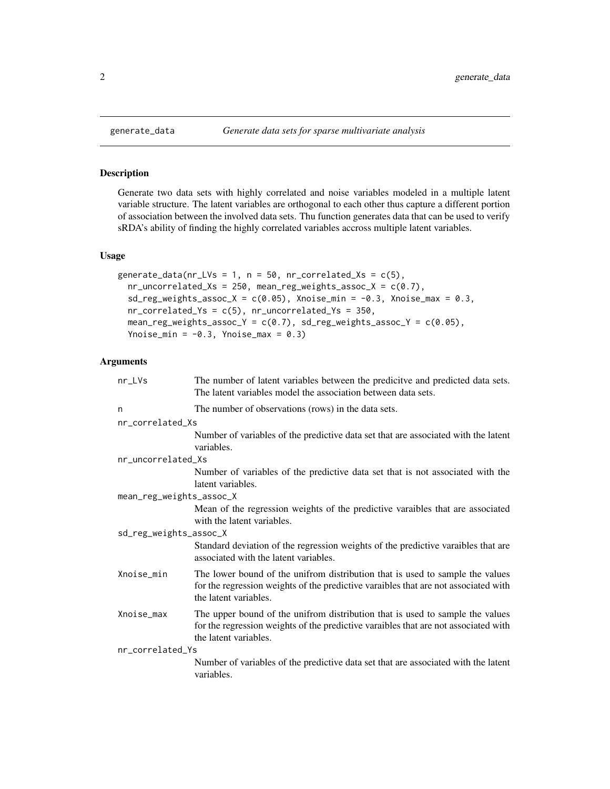#### Description

Generate two data sets with highly correlated and noise variables modeled in a multiple latent variable structure. The latent variables are orthogonal to each other thus capture a different portion of association between the involved data sets. Thu function generates data that can be used to verify sRDA's ability of finding the highly correlated variables accross multiple latent variables.

#### Usage

```
generate_data(nr_LVs = 1, n = 50, nr_correlated_Xs = c(5),
 nr\_uncorrelated_Xs = 250, mean_reg_weights_assoc_X = c(0.7),
  sd_reg_weights_assoc_X = c(0.05), Xnoise_min = -0.3, Xnoise_max = 0.3,
 nr\_correlated_Ys = c(5), nr\_uncorrelated_Ys = 350,
 mean_reg_weights_assoc_Y = c(0.7), sd_reg_weights_assoc_Y = c(0.05),
  Ynoise_min = -0.3, Ynoise_max = 0.3)
```
#### Arguments

| nr_LVs                   | The number of latent variables between the predicitve and predicted data sets.<br>The latent variables model the association between data sets.                                               |  |  |  |  |  |
|--------------------------|-----------------------------------------------------------------------------------------------------------------------------------------------------------------------------------------------|--|--|--|--|--|
| n                        | The number of observations (rows) in the data sets.                                                                                                                                           |  |  |  |  |  |
| nr_correlated_Xs         |                                                                                                                                                                                               |  |  |  |  |  |
|                          | Number of variables of the predictive data set that are associated with the latent<br>variables.                                                                                              |  |  |  |  |  |
| nr_uncorrelated_Xs       |                                                                                                                                                                                               |  |  |  |  |  |
|                          | Number of variables of the predictive data set that is not associated with the<br>latent variables.                                                                                           |  |  |  |  |  |
| mean_reg_weights_assoc_X |                                                                                                                                                                                               |  |  |  |  |  |
|                          | Mean of the regression weights of the predictive varaibles that are associated<br>with the latent variables.                                                                                  |  |  |  |  |  |
| sd_reg_weights_assoc_X   |                                                                                                                                                                                               |  |  |  |  |  |
|                          | Standard deviation of the regression weights of the predictive varaibles that are<br>associated with the latent variables.                                                                    |  |  |  |  |  |
| Xnoise_min               | The lower bound of the unifrom distribution that is used to sample the values<br>for the regression weights of the predictive varaibles that are not associated with<br>the latent variables. |  |  |  |  |  |
| Xnoise_max               | The upper bound of the unifrom distribution that is used to sample the values<br>for the regression weights of the predictive varaibles that are not associated with<br>the latent variables. |  |  |  |  |  |
| nr_correlated_Ys         |                                                                                                                                                                                               |  |  |  |  |  |
|                          | Number of variables of the predictive data set that are associated with the latent<br>variables.                                                                                              |  |  |  |  |  |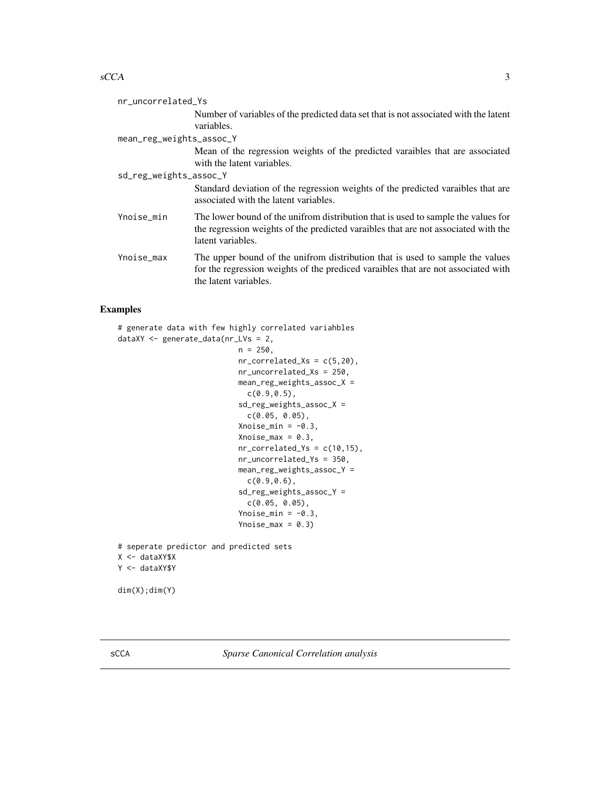#### <span id="page-2-0"></span> $\mathrm{sCCA}$  3

| nr_uncorrelated_Ys       |                                                                                                                                                                                              |
|--------------------------|----------------------------------------------------------------------------------------------------------------------------------------------------------------------------------------------|
|                          | Number of variables of the predicted data set that is not associated with the latent                                                                                                         |
|                          | variables.                                                                                                                                                                                   |
| mean_reg_weights_assoc_Y |                                                                                                                                                                                              |
|                          | Mean of the regression weights of the predicted varaibles that are associated                                                                                                                |
|                          | with the latent variables.                                                                                                                                                                   |
| sd_reg_weights_assoc_Y   |                                                                                                                                                                                              |
|                          | Standard deviation of the regression weights of the predicted varaibles that are<br>associated with the latent variables.                                                                    |
| Ynoise_min               | The lower bound of the unifrom distribution that is used to sample the values for<br>the regression weights of the predicted varaibles that are not associated with the<br>latent variables. |
| Ynoise_max               | The upper bound of the unifrom distribution that is used to sample the values<br>for the regression weights of the prediced varaibles that are not associated with<br>the latent variables.  |

#### Examples

```
# generate data with few highly correlated variahbles
dataXY <- generate_data(nr_LVs = 2,
                           n = 250,
                           nr\_correlated_Xs = c(5,20),
                           nr_uncorrelated_Xs = 250,
                           mean_reg_weights_assoc_X =
                             c(0.9,0.5),
                           sd_reg_weights_assoc_X =
                             c(0.05, 0.05),
                           Xnoise\_min = -0.3,
                           Xnoise_max = 0.3,nr_correlated_Ys = c(10,15),
                           nr_uncorrelated_Ys = 350,
                           mean_reg_weights_assoc_Y =
                             c(0.9, 0.6),
                           sd_reg_weights_assoc_Y =
                             c(0.05, 0.05),
                           Ynoise_min = -0.3,
                           Ynoise_max = 0.3)
# seperate predictor and predicted sets
X <- dataXY$X
Y <- dataXY$Y
```

```
dim(X);dim(Y)
```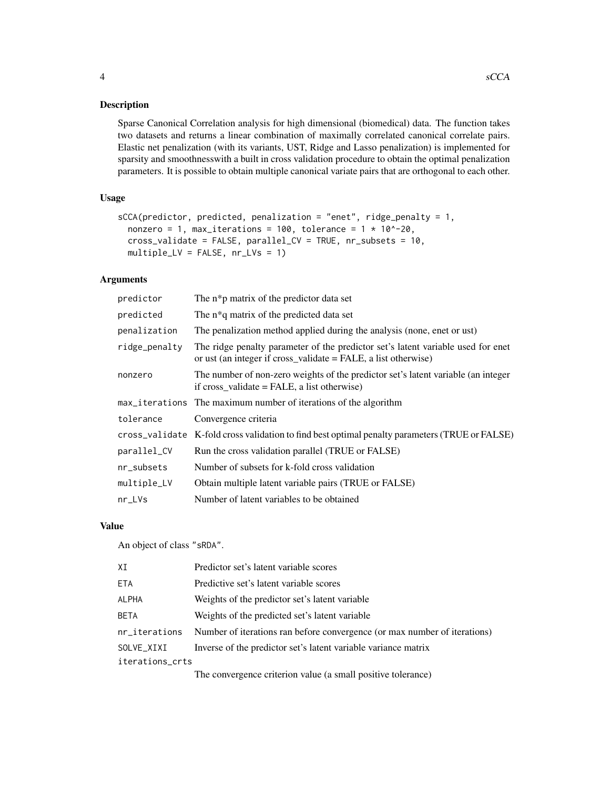#### Description

Sparse Canonical Correlation analysis for high dimensional (biomedical) data. The function takes two datasets and returns a linear combination of maximally correlated canonical correlate pairs. Elastic net penalization (with its variants, UST, Ridge and Lasso penalization) is implemented for sparsity and smoothnesswith a built in cross validation procedure to obtain the optimal penalization parameters. It is possible to obtain multiple canonical variate pairs that are orthogonal to each other.

#### Usage

```
sCCA(predictor, predicted, penalization = "enet", ridge_penalty = 1,
  nonzero = 1, max_iterations = 100, tolerance = 1 * 10^{\circ}-20,
  cross_validate = FALSE, parallel_CV = TRUE, nr_subsets = 10,
 multiple_L V = FALSE, nr_LVs = 1)
```
#### Arguments

| predictor     | The n <sup>*</sup> p matrix of the predictor data set                                                                                              |
|---------------|----------------------------------------------------------------------------------------------------------------------------------------------------|
| predicted     | The n <sup>*</sup> q matrix of the predicted data set                                                                                              |
| penalization  | The penalization method applied during the analysis (none, enet or ust)                                                                            |
| ridge_penalty | The ridge penalty parameter of the predictor set's latent variable used for enet<br>or ust (an integer if cross_validate = FALE, a list otherwise) |
| nonzero       | The number of non-zero weights of the predictor set's latent variable (an integer<br>if $\csc$ validate = FALE, a list otherwise)                  |
|               | max_iterations The maximum number of iterations of the algorithm                                                                                   |
| tolerance     | Convergence criteria                                                                                                                               |
|               | cross_validate K-fold cross validation to find best optimal penalty parameters (TRUE or FALSE)                                                     |
| parallel_CV   | Run the cross validation parallel (TRUE or FALSE)                                                                                                  |
| nr_subsets    | Number of subsets for k-fold cross validation                                                                                                      |
| multiple_LV   | Obtain multiple latent variable pairs (TRUE or FALSE)                                                                                              |
| $nr_LVs$      | Number of latent variables to be obtained                                                                                                          |

#### Value

An object of class "sRDA".

| ΧI              | Predictor set's latent variable scores                                                  |
|-----------------|-----------------------------------------------------------------------------------------|
| <b>ETA</b>      | Predictive set's latent variable scores                                                 |
| <b>ALPHA</b>    | Weights of the predictor set's latent variable.                                         |
| <b>BETA</b>     | Weights of the predicted set's latent variable.                                         |
|                 | nr_iterations Number of iterations ran before convergence (or max number of iterations) |
| SOLVE_XIXI      | Inverse of the predictor set's latent variable variance matrix                          |
| iterations_crts |                                                                                         |
|                 | The convergence criterion value (a small positive tolerance)                            |

The convergence criterion value (a small positive tolerance)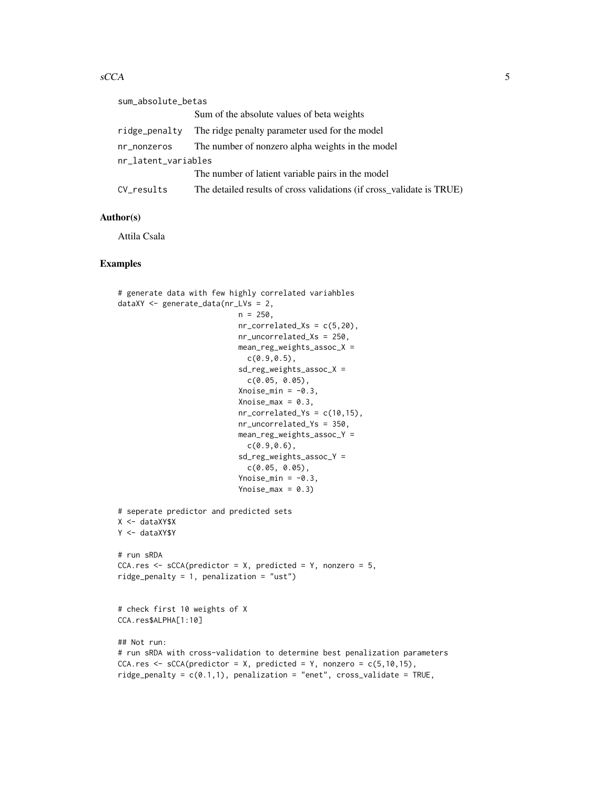#### $\mathrm{sCCA}$  5

| sum_absolute_betas  |                                                                       |  |  |  |  |
|---------------------|-----------------------------------------------------------------------|--|--|--|--|
|                     | Sum of the absolute values of beta weights                            |  |  |  |  |
| ridge_penalty       | The ridge penalty parameter used for the model                        |  |  |  |  |
| nr_nonzeros         | The number of nonzero alpha weights in the model                      |  |  |  |  |
| nr_latent_variables |                                                                       |  |  |  |  |
|                     | The number of latient variable pairs in the model                     |  |  |  |  |
| CV_results          | The detailed results of cross validations (if cross_validate is TRUE) |  |  |  |  |

#### Author(s)

Attila Csala

#### Examples

```
# generate data with few highly correlated variahbles
dataXY <- generate_data(nr_LVs = 2,
                           n = 250,
                           nr\_correlated_Xs = c(5,20),
                           nr_uncorrelated_Xs = 250,
                           mean_reg_weights_assoc_X =
                             c(0.9, 0.5),
                           sd_reg_weights_assoc_X =
                             c(0.05, 0.05),
                           Xnoise_min = -0.3,
                           Xnoise_max = 0.3,
                           nr\_correlated_Ys = c(10, 15),
                           nr_uncorrelated_Ys = 350,
                           mean_reg_weights_assoc_Y =
                             c(0.9,0.6),
                           sd_reg_weights_assoc_Y =
                             c(0.05, 0.05),
                           Ynoise_min = -0.3,
                           Ynoise_max = 0.3)
# seperate predictor and predicted sets
X <- dataXY$X
Y <- dataXY$Y
# run sRDA
CCA.res \leq sCCA(predictor = X, predicted = Y, nonzero = 5,
ridge_penalty = 1, penalization = "ust")
# check first 10 weights of X
CCA.res$ALPHA[1:10]
## Not run:
# run sRDA with cross-validation to determine best penalization parameters
CCA.res \leq sCCA(predictor = X, predicted = Y, nonzero = c(5,10,15),
ridge_penalty = c(0.1,1), penalization = "enet", cross_validate = TRUE,
```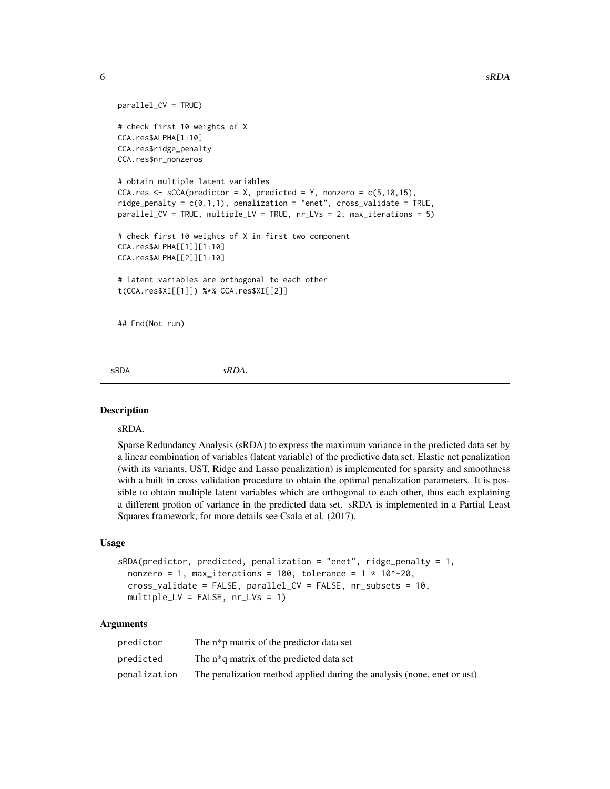<span id="page-5-0"></span> $\mathcal{S}$  sRDA

```
parallel_CV = TRUE)
# check first 10 weights of X
CCA.res$ALPHA[1:10]
CCA.res$ridge_penalty
CCA.res$nr_nonzeros
# obtain multiple latent variables
CCA.res \leq sCCA(predictor = X, predicted = Y, nonzero = c(5,10,15),
ridge\_penalty = c(0.1,1), penalization = "enet", cross\_validate = TRUE,parallel_CV = TRUE, multiple_LV = TRUE, nr_LVs = 2, max_iterations = 5)
# check first 10 weights of X in first two component
CCA.res$ALPHA[[1]][1:10]
CCA.res$ALPHA[[2]][1:10]
# latent variables are orthogonal to each other
t(CCA.res$XI[[1]]) %*% CCA.res$XI[[2]]
## End(Not run)
```
sRDA *sRDA.*

#### Description

#### sRDA.

Sparse Redundancy Analysis (sRDA) to express the maximum variance in the predicted data set by a linear combination of variables (latent variable) of the predictive data set. Elastic net penalization (with its variants, UST, Ridge and Lasso penalization) is implemented for sparsity and smoothness with a built in cross validation procedure to obtain the optimal penalization parameters. It is possible to obtain multiple latent variables which are orthogonal to each other, thus each explaining a different protion of variance in the predicted data set. sRDA is implemented in a Partial Least Squares framework, for more details see Csala et al. (2017).

#### Usage

```
sRDA(predictor, predicted, penalization = "enet", ridge_penalty = 1,
 nonzero = 1, max_iterations = 100, tolerance = 1 * 10^2 - 20,
  cross_validate = FALSE, parallel_CV = FALSE, nr_subsets = 10,
 multiple_L V = FALSE, nr_LVs = 1)
```
#### Arguments

| predictor    | The n <sup>*</sup> p matrix of the predictor data set                   |
|--------------|-------------------------------------------------------------------------|
| predicted    | The n <sup>*</sup> q matrix of the predicted data set                   |
| penalization | The penalization method applied during the analysis (none, enet or ust) |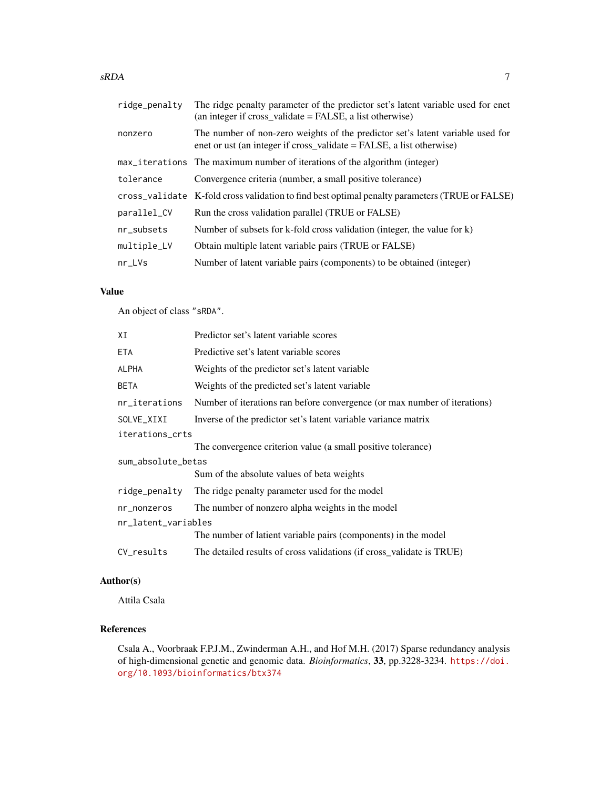| ridge_penalty | The ridge penalty parameter of the predictor set's latent variable used for enet<br>(an integer if $\cos\theta$ validate = FALSE, a list otherwise)    |
|---------------|--------------------------------------------------------------------------------------------------------------------------------------------------------|
| nonzero       | The number of non-zero weights of the predictor set's latent variable used for<br>enet or ust (an integer if cross_validate = FALSE, a list otherwise) |
|               | max_iterations The maximum number of iterations of the algorithm (integer)                                                                             |
| tolerance     | Convergence criteria (number, a small positive tolerance)                                                                                              |
|               | cross_validate K-fold cross validation to find best optimal penalty parameters (TRUE or FALSE)                                                         |
| parallel_CV   | Run the cross validation parallel (TRUE or FALSE)                                                                                                      |
| nr_subsets    | Number of subsets for k-fold cross validation (integer, the value for k)                                                                               |
| multiple_LV   | Obtain multiple latent variable pairs (TRUE or FALSE)                                                                                                  |
| nr LVs        | Number of latent variable pairs (components) to be obtained (integer)                                                                                  |

#### Value

An object of class "sRDA".

| ΧI                  | Predictor set's latent variable scores                                    |  |  |  |  |
|---------------------|---------------------------------------------------------------------------|--|--|--|--|
| <b>ETA</b>          | Predictive set's latent variable scores                                   |  |  |  |  |
| ALPHA               | Weights of the predictor set's latent variable.                           |  |  |  |  |
| BETA                | Weights of the predicted set's latent variable.                           |  |  |  |  |
| nr_iterations       | Number of iterations ran before convergence (or max number of iterations) |  |  |  |  |
| SOLVE_XIXI          | Inverse of the predictor set's latent variable variance matrix            |  |  |  |  |
| iterations_crts     |                                                                           |  |  |  |  |
|                     | The convergence criterion value (a small positive tolerance)              |  |  |  |  |
| sum_absolute_betas  |                                                                           |  |  |  |  |
|                     | Sum of the absolute values of beta weights                                |  |  |  |  |
| ridge_penalty       | The ridge penalty parameter used for the model                            |  |  |  |  |
| nr_nonzeros         | The number of nonzero alpha weights in the model                          |  |  |  |  |
| nr_latent_variables |                                                                           |  |  |  |  |
|                     | The number of latient variable pairs (components) in the model            |  |  |  |  |
| CV_results          | The detailed results of cross validations (if cross_validate is TRUE)     |  |  |  |  |

#### Author(s)

Attila Csala

#### References

Csala A., Voorbraak F.P.J.M., Zwinderman A.H., and Hof M.H. (2017) Sparse redundancy analysis of high-dimensional genetic and genomic data. *Bioinformatics*, 33, pp.3228-3234. [https://doi.](https://doi.org/10.1093/bioinformatics/btx374) [org/10.1093/bioinformatics/btx374](https://doi.org/10.1093/bioinformatics/btx374)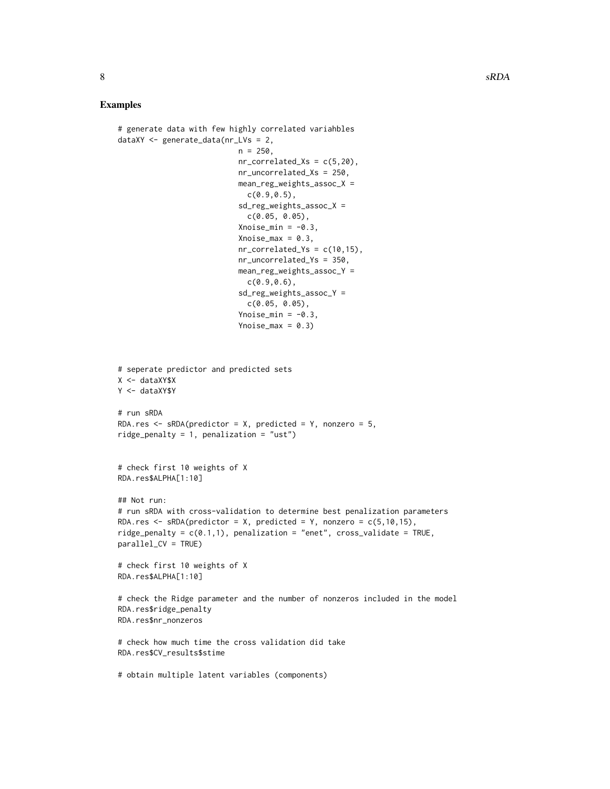#### Examples

```
# generate data with few highly correlated variahbles
dataXY <- generate_data(nr_LVs = 2,
                           n = 250,
                           nr\_correlated_Xs = c(5, 20),
                           nr_uncorrelated_Xs = 250,
                           mean_reg_weights_assoc_X =
                             c(0.9, 0.5),
                           sd_reg_weights_assoc_X =
                             c(0.05, 0.05),
                           Xnoise_min = -0.3,
                           Xnoise_max = 0.3,nr\_correlated_Ys = c(10,15),
                           nr_uncorrelated_Ys = 350,
                           mean_reg_weights_assoc_Y =
                             c(0.9,0.6),
                           sd_reg_weights_assoc_Y =
                             c(0.05, 0.05),
                           Ynoise_min = -0.3,
                           Ynoise_max = 0.3)
# seperate predictor and predicted sets
X <- dataXY$X
Y <- dataXY$Y
# run sRDA
RDA.res \leq sRDA(predictor = X, predicted = Y, nonzero = 5,
ridge_penalty = 1, penalization = "ust")
# check first 10 weights of X
RDA.res$ALPHA[1:10]
## Not run:
# run sRDA with cross-validation to determine best penalization parameters
RDA.res \leq sRDA(predictor = X, predicted = Y, nonzero = c(5,10,15),
ridge_penalty = c(0.1,1), penalization = "enet", cross_validate = TRUE,
parallel_CV = TRUE)
# check first 10 weights of X
RDA.res$ALPHA[1:10]
# check the Ridge parameter and the number of nonzeros included in the model
RDA.res$ridge_penalty
RDA.res$nr_nonzeros
# check how much time the cross validation did take
RDA.res$CV_results$stime
# obtain multiple latent variables (components)
```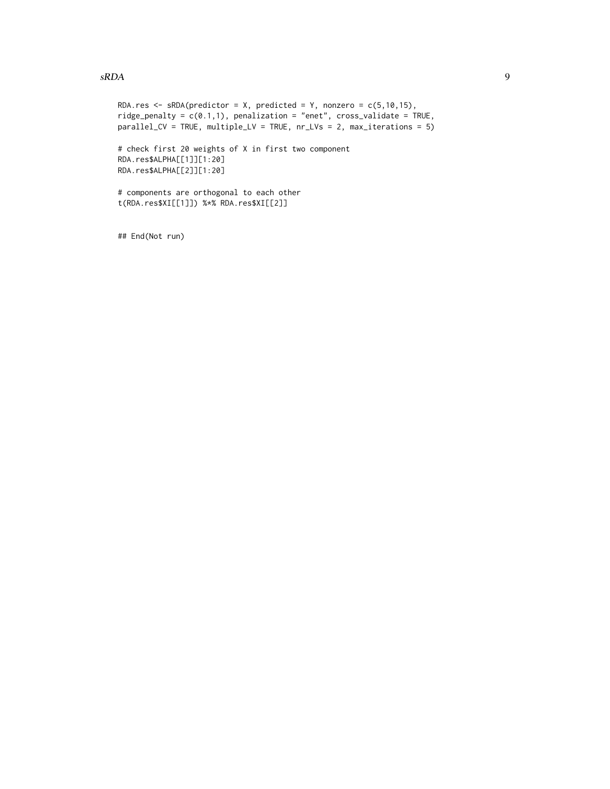#### $sRDA$  9

```
RDA.res \leq sRDA(predictor = X, predicted = Y, nonzero = c(5,10,15),
ridge\_penalty = c(0.1,1), penalization = "enet", cross_validate = TRUE,
parallel_CV = TRUE, multiple_LV = TRUE, nr_LVs = 2, max_iterations = 5)
# check first 20 weights of X in first two component
RDA.res$ALPHA[[1]][1:20]
RDA.res$ALPHA[[2]][1:20]
# components are orthogonal to each other
t(RDA.res$XI[[1]]) %*% RDA.res$XI[[2]]
```
## End(Not run)